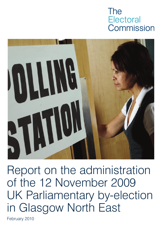# The **Electoral** Commission



Report on the administration of the 12 November 2009 UK Parliamentary by-election in Glasgow North East

February 2010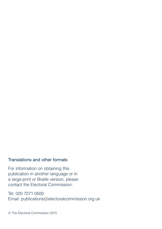### Translations and other formats

For information on obtaining this publication in another language or in a large-print or Braille version, please contact the Electoral Commission:

Tel: 020 7271 0500 Email: publications@electoralcommission.org.uk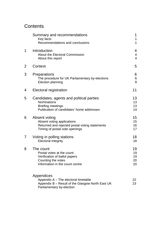## **Contents**

|   | Summary and recommendations<br>Key facts<br>Recommendations and conclusions                                                         | 1<br>$\mathbf{1}$<br>$\mathbf 1$      |
|---|-------------------------------------------------------------------------------------------------------------------------------------|---------------------------------------|
| 1 | Introduction<br><b>About the Electoral Commission</b><br>About this report                                                          | 4<br>$\overline{4}$<br>$\overline{4}$ |
| 2 | Context                                                                                                                             | 5                                     |
| 3 | Preparations<br>The procedure for UK Parliamentary by-elections<br>Election planning                                                | 6<br>$\,6$<br>9                       |
| 4 | Electoral registration                                                                                                              | 11                                    |
| 5 | Candidates, agents and political parties<br>Nominations<br><b>Briefing meetings</b><br>Publication of candidates' home addresses    | 13<br>13<br>13<br>14                  |
| 6 | Absent voting<br>Absent voting applications<br>Returned and rejected postal voting statements<br>Timing of postal vote openings     | 15<br>15<br>16<br>17                  |
| 7 | Voting in polling stations<br><b>Electoral integrity</b>                                                                            | 18<br>18                              |
| 8 | The count<br>Postal votes at the count<br>Verification of ballot papers<br>Counting the votes<br>Information in the count centre    | 19<br>19<br>19<br>20<br>20            |
|   | Appendices<br>Appendix A – The electoral timetable<br>Appendix B - Result of the Glasgow North East UK<br>Parliamentary by-election | 22<br>23                              |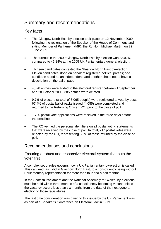## Summary and recommendations

### Key facts

- The Glasgow North East by-election took place on 12 November 2009 following the resignation of the Speaker of the House of Commons and sitting Member of Parliament (MP), the Rt. Hon. Michael Martin, on 22 June 2009.
- The turnout in the 2009 Glasgow North East by-election was 33.02% compared to 46.14% at the 2005 UK Parliamentary general election.
- Thirteen candidates contested the Glasgow North East by-election. Eleven candidates stood on behalf of registered political parties; one candidate stood as an independent; and another chose not to have a description on the ballot paper.
- 4,028 entries were added to the electoral register between 1 September and 28 October 2008. 385 entries were deleted.
- 9.7% of electors (a total of 6,065 people) were registered to vote by post. 67.4% of postal ballot packs issued (4,085) were completed and returned to the Returning Officer (RO) prior to the close of poll.
- 1,780 postal vote applications were received in the three days before the deadline.
- The RO verified the personal identifiers on all postal voting statements that were received by the close of poll. In total, 217 postal votes were rejected by the RO, representing 5.3% of those returned by the close of poll.

#### Recommendations and conclusions

Ensuring a robust and responsive electoral system that puts the voter first

A complex set of rules governs how a UK Parliamentary by-election is called. This can lead, as it did in Glasgow North East, to a constituency being without Parliamentary representation for more than four and a half months.

In the Scottish Parliament and the National Assembly for Wales, by-elections must be held within three months of a constituency becoming vacant unless the vacancy occurs less than six months from the date of the next general election to those legislatures.

The last time consideration was given to this issue by the UK Parliament was as part of a Speaker's Conference on Electoral Law in 1973.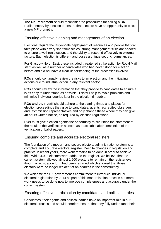**The UK Parliament** should reconsider the procedures for calling a UK Parliamentary by-election to ensure that electors have an opportunity to elect a new MP promptly.

#### Ensuring effective planning and management of an election

Elections require the large-scale deployment of resources and people that can take place within very short timescales; strong management skills are needed to ensure a well-run election, and the ability to respond effectively to external factors. Each election is different and poses a unique set of circumstances.

For Glasgow North East, these included threatened strike action by Royal Mail staff, as well as a number of candidates who had never stood for election before and did not have a clear understanding of the processes involved.

**ROs** should continually review the risks to an election and the mitigating actions due to industrial action in any relevant sector.

**ROs** should review the information that they provide to candidates to ensure it is as easy to understand as possible. This will help to avoid problems and minimise individual queries later in the election timetable.

**ROs and their staff** should adhere to the starting times and places for election proceedings they give to candidates, agents, accredited observers and Commission representatives and only change these where they can give 48 hours written notice, as required by election regulations.

**ROs** must give election agents the opportunity to scrutinise the statement of the result of the verification as soon as practicable after completion of the verification of ballot papers.

#### Ensuring complete and accurate electoral registers

The foundation of a modern and secure electoral administration system is a complete and accurate electoral register. Despite changes in legislation and practice in recent years, more work remains to be done in order to achieve this. While 4,028 electors were added to the register, we believe that the current system allowed almost 1,900 electors to remain on the register even though a registration form had been returned which showed that those electors were no longer resident at an address in the constituency.

We welcome the UK government's commitment to introduce individual electoral registration by 2014 as part of this modernisation process but more work needs to be done now to improve completeness and accuracy under the current system.

#### Ensuring effective participation by candidates and political parties

Candidates, their agents and political parties have an important role in our electoral process and should therefore ensure that they fully understand their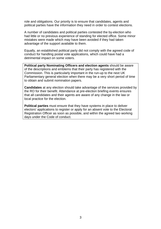role and obligations. Our priority is to ensure that candidates, agents and political parties have the information they need in order to contest elections.

A number of candidates and political parties contested the by-election who had little or no previous experience of standing for elected office. Some minor mistakes were made which may have been avoided if they had taken advantage of the support available to them.

Equally, an established political party did not comply with the agreed code of conduct for handling postal vote applications, which could have had a detrimental impact on some voters.

**Political party Nominating Officers and election agents** should be aware of the descriptions and emblems that their party has registered with the Commission. This is particularly important in the run-up to the next UK Parliamentary general election when there may be a very short period of time to obtain and submit nomination papers.

**Candidates** at any election should take advantage of the services provided by the RO for their benefit. Attendance at pre-election briefing events ensures that all candidates and their agents are aware of any change in the law or local practice for the election.

**Political parties** must ensure that they have systems in place to deliver electors' applications to register or apply for an absent vote to the Electoral Registration Officer as soon as possible, and within the agreed two working days under the Code of conduct.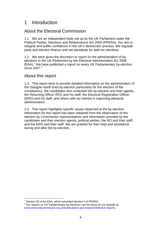## 1 Introduction

### About the Electoral Commission

1.1 We are an independent body set up by the UK Parliament under the Political Parties, Elections and Referendums Act 2000 (PPERA). Our aim is integrity and public confidence in the UK's democratic process. We regulate party and election finance and set standards for well-run elections.

1.2 We were given the discretion to report on the administration of byelections to the UK Parliament by the Electoral Administration Act 2006 (EAA).<sup>1</sup> We have published a report on every UK Parliamentary by-election since 2007<sup>2</sup>

#### About this report

1.3 This report aims to provide detailed information on the administration of the Glasgow North East by-election particularly for the electors of the constituency, the candidates who contested the by-election and their agents, the Returning Officer (RO) and his staff, the Electoral Registration Officer (ERO) and his staff, and others with an interest in improving electoral administration.

1.4 This report highlights specific issues observed at the by-election. Information for this report has been obtained from the observation of the election by Commission representatives and information provided by the candidates and their election agents, political parties, the RO and their staff, and the ERO and their staff. We are grateful for their help and assistance during and after the by-election.

l  $1$  Section 28 of the EAA, which amended Section 5 of PPERA.

 $2$  Our reports on UK Parliamentary by-elections can be found on our website at www.electoralcommission.org.uk/publications-and-research/election-reports.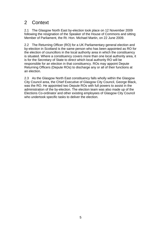## 2 Context

2.1 The Glasgow North East by-election took place on 12 November 2009 following the resignation of the Speaker of the House of Commons and sitting Member of Parliament, the Rt. Hon. Michael Martin, on 22 June 2009.

2.2 The Returning Officer (RO) for a UK Parliamentary general election and by-election in Scotland is the same person who has been appointed as RO for the election of councillors in the local authority area in which the constituency is situated. Where a constituency covers more than one local authority area, it is for the Secretary of State to direct which local authority RO will be responsible for an election in that constituency. ROs may appoint Depute Returning Officers (Depute ROs) to discharge any or all of their functions at an election.

2.3 As the Glasgow North East constituency falls wholly within the Glasgow City Council area, the Chief Executive of Glasgow City Council, George Black, was the RO. He appointed two Depute ROs with full powers to assist in the administration of the by-election. The election team was also made up of the Elections Co-ordinator and other existing employees of Glasgow City Council who undertook specific tasks to deliver the election.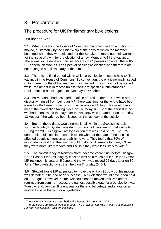## 3 Preparations

### The procedure for UK Parliamentary by-elections

#### Issuing the writ

3.1 When a seat in the House of Commons becomes vacant, a motion is moved, customarily by the Chief Whip of the party to which the member belonged when they were elected, for the Speaker to make out their warrant for the issue of a writ for the election of a new Member to fill the vacancy. There was some debate in this instance as the Speaker contested the 2005 UK general election as 'The Speaker seeking re-election' and therefore did not belong to a political party at that time.

3.2 There is no fixed period within which a by-election must be held to fill a vacancy in the House of Commons. By convention, the writ is normally issued within three months of the seat becoming vacant. The writ cannot be issued while Parliament is in recess unless there are specific circumstances.<sup>3</sup> Parliament did not sit again until Monday 12 October.

3.3 As Mr Martin had accepted an office of profit under the Crown in order to disqualify himself from being an MP, there was time for the writ to have been issued as Parliament rose for summer recess on 21 July. This would have meant the by-election taking place on Thursday 16 July at the earliest if the writ had been issued the day after the vacancy was created, or on Thursday 13 August if the writ had been issued on the last day of the session.

3.4 Both of these dates would normally fall within the Scottish schools' summer holidays. By-elections during school holidays are normally avoided. During the 2008 Glasgow East by-election that was held on 23 July, ICM undertook public opinion research to see whether the date of the election affected people's intention and ability to vote. They found that 89% of respondents said that the timing would make no difference to them, 7% said they were more likely to vote and 4% said they were less likely to vote.<sup>4</sup>

3.5 The constituency of Norwich North became vacant just before Glasgow North East but the resulting by-election was held much earlier. Dr Ian Gibson MP resigned his seat on 5 June and the writ was moved 25 days later on 30 June. The by-election was then held on Thursday 24 July.

3.6 Stewart Hosie MP attempted to move the writ on 21 July but his motion was defeated. If he had been successful, a by-election would have been held on 13 August. However, as the writ could not be moved until Parliament returned from summer recess, the earliest possible date for a by-election was Tuesday 3 November. It is unusual for there to be debate and a vote on a motion to issue the writ for a by-election.

l  $3$  Those circumstances are described in the Recess Elections Act 1975.

<sup>4</sup> The Electoral Commission (October 2008),*The Crewe & Nantwich, Henley, Haltemprice & Howden and Glasgow East by-elections*.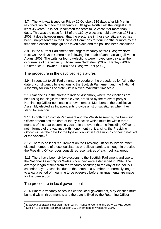3.7 The writ was issued on Friday 16 October, 116 days after Mr Martin resigned, which made the vacancy in Glasgow North East the longest in at least 35 years.<sup>5</sup> It is not uncommon for seats to lie vacant for more than 90 days. This was the case for 13 of the 162 by-elections held between 1974 and 2008. It does however mean that the electorate in those constituencies has been unrepresented in the House of Commons for four months or more by the time the election campaign has taken place and the poll has been concluded.

3.8 In the current Parliament, the longest vacancy before Glasgow North East was 62 days in Glenrothes following the death of John McDougall MP in August 2008. The writs for four by-elections were moved one day after the occurrence of the vacancy. Those were Sedgefield (2007), Henley (2008), Haltemprice & Howden (2008) and Glasgow East (2008).

The procedure in the devolved legislatures

3.9 In contrast to UK Parliamentary procedure, the procedures for fixing the date of constituency by-elections to the Scottish Parliament and the National Assembly for Wales operate within a fixed maximum timescale.

3.10 Vacancies in the Northern Ireland Assembly, where the elections are held using the single transferable vote, are filled by the relevant party's Nominating Officer nominating a new member. Members of the Legislative Assembly elected as Independents provide a list of substitutes when they stand for election.

3.11 In both the Scottish Parliament and the Welsh Assembly, the Presiding Officer determines the date of the by-election which must be within three months of the seat becoming vacant. In the event that the Presiding Officer is not informed of the vacancy within one month of it arising, the Presiding Officer will set the date for the by-election within three months of being notified of the vacancy.<sup>6</sup>

3.12 There is no legal requirement on the Presiding Officer to involve other elected members of those legislatures or political parties, although in practice the Presiding Officer does consult representatives of each political group.

3.13 There have been six by-elections to the Scottish Parliament and two to the National Assembly for Wales since they were established in 1999. The average length of time from the vacancy occurring to the day of the poll is 46 calendar days. Vacancies due to the death of a Member are normally longer to allow a period of mourning to be observed before arrangements are made for the by-election.

The procedure in local government

l

3.14 Where a vacancy arises in Scottish local government, a by-election must be held within three months and the date is fixed by the Returning Officer

<sup>&</sup>lt;sup>5</sup> *Election timetables, Research Paper 09/44, (House of Commons Library, 13 May 2009).*<br><sup>6</sup> Section 8, Sectional Act 1008: Section 10, Covernment of Welse Act 2006

 $6$  Section 9. Scotland Act 1998; Section 10, Government of Wales Act 2006.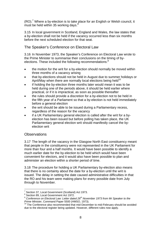$(RO)$ .<sup>7</sup> Where a by-election is to take place for an English or Welsh council, it must be held within 35 working days. $8$ 

3.15 In local government in Scotland, England and Wales, the law states that a by-election shall not be held if the vacancy occurred less than six months before the next scheduled election for that seat.

#### The Speaker's Conference on Electoral Law

3.16 In November 1973, the Speaker's Conference on Electoral Law wrote to the Prime Minister to summarise their conclusions on the timing of byelections. These included the following recommendations:<sup>9</sup>

- the motion for the writ for a by-election should normally be moved within three months of a vacancy arising
- that by-elections should not be held in August due to summer holidays or April/May when there are normally local elections being held<sup>10</sup>
- if holding the by-election three months later would mean it was to be held during one of the periods above, it should be held earlier where practical, or if it is impractical, as soon as possible thereafter
- the rules should provide a discretion for a by-election not to be held in the fifth year of a Parliament so that a by-election is not held immediately before a general election
- the writ should be able to be issued during a Parliamentary recess, regardless of the reason for the vacancy
- if a UK Parliamentary general election is called after the writ for a byelection has been issued but before polling has taken place, the UK Parliamentary general election writ should manifestly cancel the byelection writ

#### **Observations**

l

3.17 The length of the vacancy in the Glasgow North East constituency meant that people in the constituency were not represented in the UK Parliament for more than four and a half months. It would have been possible to identify a much earlier date for the by-election to be held which would have been convenient for electors, and it would also have been possible to plan and administer an election within a shorter period of time.

3.18 The procedure for holding a UK Parliamentary by-election also means that there is no certainty about the date for a by-election until the writ is issued. The delay in setting the date caused administrative difficulties in that the RO and his team were making plans for every possible date from July through to November.

<sup>&</sup>lt;sup>7</sup> Section 37, Local Government (Scotland) Act 1973.

<sup>8</sup> Section 89, Local Government Act 1972.

<sup>9</sup> *Conference on Electoral Law: Letter dated 26th November 1973 from Mr Speaker to the* 

<sup>&</sup>lt;sup>10</sup> The Conference also recommended that mid-December to mid-February should be avoided due to the electoral register being updated. However, different rules now apply.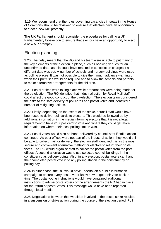3.19 We recommend that the rules governing vacancies in seats in the House of Commons should be reviewed to ensure that electors have an opportunity to elect a new MP promptly.

**The UK Parliament** should reconsider the procedures for calling a UK Parliamentary by-election to ensure that electors have an opportunity to elect a new MP promptly.

#### Election planning

3.20 The delay meant that the RO and his team were unable to put many of the key elements of the election in place, such as booking venues for an unconfirmed date, as this could have resulted in cancellation charges if a different date was set. A number of schools and nursery buildings were used as polling places. It was not possible to give them much advance warning of when their premises would be required and to allow the schools and parents to make alternative arrangements for the children.

3.21 Postal strikes were taking place while preparations were being made for the by-election. The RO identified that industrial action by Royal Mail staff could affect the good conduct of the by-election. The election team considered the risks to the safe delivery of poll cards and postal votes and identified a number of mitigating actions.

3.22 Firstly, depending on the extent of the strike, council staff would have been used to deliver poll cards to electors. This would be followed up by additional information in the media informing electors that it is not a legal requirement to have your poll card to vote and where they could get more information on where their local polling station was.

3.23 Postal votes would also be hand-delivered by council staff if strike action continued. As post offices were not part of the industrial action, they would still be able to collect mail for delivery, the election staff identified this as the most secure and convenient alternative method for electors to return their postal votes. The RO would organise staff to collect the postal votes from the post offices. A second alternative was to use selected council buildings in the constituency as delivery points. Also, in any election, postal voters can hand their completed postal vote in to any polling station in the constituency on polling day.

3.24 In either case, the RO would have undertaken a public information campaign to ensure every postal voter knew how to get their vote back in time. The postal voting instructions would have contained additional instructions to advise postal voters of the arrangements the RO had in place for the return of postal votes. This message would have been repeated through local media.

3.25 Negotiations between the two sides involved in the postal strike resulted in a suspension of strike action during the course of the election period. Poll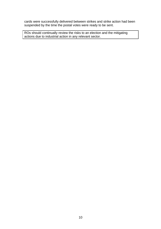cards were successfully delivered between strikes and strike action had been suspended by the time the postal votes were ready to be sent.

ROs should continually review the risks to an election and the mitigating actions due to industrial action in any relevant sector.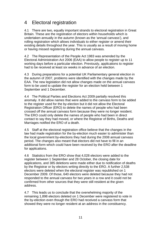## 4 Electoral registration

4.1 There are two, equally important strands to electoral registration in Great Britain. These are the registration of electors within households which is undertaken annually in the autumn (known as the 'annual canvass'), and rolling registration which allows individuals to either register or amend their existing details throughout the year. This is usually as a result of moving home or having missed registering during the annual canvass.

4.2 The Representation of the People Act 1983 was amended by the Electoral Administration Act 2006 (EAA) to allow people to register up to 11 working days before a particular election. Previously, applications to register had to be received at least six weeks in advance of an election.

4.3 During preparations for a potential UK Parliamentary general election in the autumn of 2007, problems were identified with the changes made by the EAA. The new legislation did not allow changes made on the annual canvass form to be used to update the register for an election held between 1 September and 1 December.

4.4 The Political Parties and Elections Act 2009 partially resolved this anomaly. It did allow names that were added to the canvass form to be added to the register used for the by-election but it did not allow the Electoral Registration Officer (ERO) to delete the names of people who had been crossed off the annual canvass form because they were no longer resident. The ERO could only delete the names of people who had been in direct contact to say they had moved, or where the Registrar of Births, Deaths and Marriages notified the ERO of a death.

4.5 Staff at the electoral registration office believe that the changes in the law had made registration for the by-election much easier to administer than the local government by-elections they had during the 2008 annual canvass period. The changes also meant that electors did not have to fill in an additional form which could have been received by the ERO after the deadline for applications.

4.6 Statistics from the ERO show that 4,028 electors were added to the register between 1 September and 28 October, the closing date for applications, and 385 deletions were made either due to notification of deaths by the Registrar or by electors writing directly to the ERO. A further 2,538 electors were deleted when the electoral register was republished on 1 December 2009. Of those, 640 electors were deleted because they had not responded to the annual canvass for two years in a row and it could not be confirmed from other sources that they were still resident at the given address.

4.7 This leads us to conclude that the overwhelming majority of the remaining 1,898 electors deleted on 1 December were registered to vote in the by-election even though the ERO had received a canvass form that showed they were no longer resident at an address in the constituency.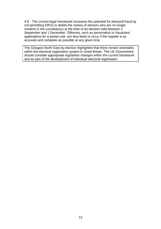4.8 The current legal framework increases the potential for electoral fraud by not permitting EROs to delete the names of electors who are no longer resident in the constituency at the time of an election held between 1 September and 1 December. Offences, such as personation or fraudulent applications for a postal vote, are less likely to occur if the register is as accurate and complete as possible at any given time.

The Glasgow North East by-election highlighted that there remain anomalies within the electoral registration system in Great Britain. The UK Government should consider appropriate legislative changes within the current framework and as part of the development of individual electoral registration.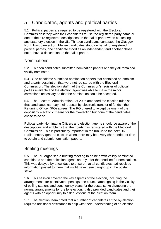## 5 Candidates, agents and political parties

5.1 Political parties are required to be registered with the Electoral Commission if they wish their candidates to use the registered party name or one of their 12 registered descriptions on the ballot paper when contesting any statutory election in the UK. Thirteen candidates contested the Glasgow North East by-election. Eleven candidates stood on behalf of registered political parties, one candidate stood as an independent and another chose not to have a description on the ballot paper.

### **Nominations**

5.2 Thirteen candidates submitted nomination papers and they all remained validly nominated.

5.3 One candidate submitted nomination papers that contained an emblem and a party description that were not registered with the Electoral Commission. The election staff had the Commission's register of political parties available and the election agent was able to make the minor corrections necessary so that the nomination could be accepted.

5.4 The Electoral Administration Act 2006 amended the election rules so that candidates can pay their deposit by electronic transfer of funds if the Returning Officer (RO) agrees. The RO offered to accept payment of the deposit by electronic means for the by-election but none of the candidates chose to do so.

Political party Nominating Officers and election agents should be aware of the descriptions and emblems that their party has registered with the Electoral Commission. This is particularly important in the run-up to the next UK Parliamentary general election when there may be a very short period of time to obtain and submit nomination papers.

### Briefing meetings

5.5 The RO organised a briefing meeting to be held with validly nominated candidates and their election agents shortly after the deadline for nominations. This was delayed by a few days to ensure that all candidates had received information posted to them that might have been caught up in the postal strike.

5.6 This session covered the key aspects of the election, including the arrangements for postal vote openings, the count, campaigning in the vicinity of polling stations and contingency plans for the postal strike disrupting the normal arrangements for the by-election. It also provided candidates and their agents with an opportunity to ask questions of the election team.

5.7 The election team noted that a number of candidates at the by-election required additional assistance to help with their understanding of an election.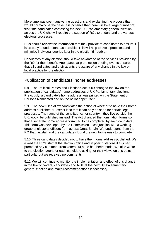More time was spent answering questions and explaining the process than would normally be the case. It is possible that there will be a large number of first-time candidates contesting the next UK Parliamentary general election across the UK who will require the support of ROs to understand the various electoral processes.

ROs should review the information that they provide to candidates to ensure it is as easy to understand as possible. This will help to avoid problems and minimise individual queries later in the election timetable.

Candidates at any election should take advantage of the services provided by the RO for their benefit. Attendance at pre-election briefing events ensures that all candidates and their agents are aware of any change in the law or local practice for the election.

#### Publication of candidates' home addresses

5.8 The Political Parties and Elections Act 2009 changed the law on the publication of candidates' home addresses at UK Parliamentary elections. Previously, a candidate's home address was printed on the Statement of Persons Nominated and on the ballot paper itself.

5.9 The new rules allow candidates the option of whether to have their home address published or restrict it so that it can only be seen for certain legal processes. The name of the constituency, or country if they live outside the UK, would be published instead. The Act changed the nomination forms so that a separate home address form had to be completed by each candidate. This form was developed by the Commission in conjunction with a working group of electoral officers from across Great Britain. We understand from the RO that his staff and the candidates found the new forms easy to complete.

5.10 Three candidates decided not to have their home address published. We asked the RO's staff at the election office and in polling stations if this had prompted any comment from voters but none had been made. We also wrote to the election agent for each candidate asking for their views on this point in particular but we received no comments.

5.11 We will continue to monitor the implementation and effect of this change in the law on voters, candidates and ROs at the next UK Parliamentary general election and make recommendations if necessary.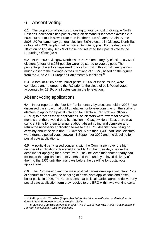## 6 Absent voting

6.1 The proportion of electors choosing to vote by post in Glasgow North East has increased since postal voting on demand first became available in 2001 but at a much slower rate than in other parts of Great Britain. At the 2005 UK Parliamentary general election, 3.9% electors in Glasgow North East (a total of 2,423 people) had registered to vote by post. By the deadline of 10pm on polling day, 67.7% of those had returned their postal vote to the Returning Officer (RO).

6.2 At the 2009 Glasgow North East UK Parliamentary by-election, 9.7% of electors (a total of 6,065 people) were registered to vote by post. The percentage of electors registered to vote by post in this constituency is now much closer to the average across Scotland of 11.7%, based on the figures from the June 2009 European Parliamentary elections.<sup>11</sup>

6.3 A total of 4,085 postal ballot packs, 67.4% of those issued, were completed and returned to the RO prior to the close of poll. Postal votes accounted for 19.8% of all votes cast in the by-election.

### Absent voting applications

6.4 In our report on the four UK Parliamentary by-elections held in 2008<sup>12</sup> we discussed the impact that tight timetables for by-elections has on the ability for electors to apply for a postal vote and for Electoral Registration Officers (EROs) to process these applications. As electors were aware for several months that there would be a by-election in Glasgow North East, there was sufficient time for them to enquire about absent voting and complete and return the necessary application forms to the ERO, despite there being no certainty about the date until 16 October. More than 1,400 additional electors were granted postal votes between 1 September 2009 and the deadline for postal vote applications.

6.5 A political party raised concerns with the Commission over the high number of applications delivered to the ERO in the three days before the deadline for applying for a postal vote. They believed that another party had collected the applications from voters and then unduly delayed delivery of them to the ERO until the final days before the deadline for postal vote applications.

6.6 The Commission and the main political parties drew up a voluntary Code of conduct to deal with the handling of postal vote applications and postal ballot packs in 2006. The Code states that political parties agree to deliver any postal vote application form they receive to the ERO within two working days.

l <sup>11</sup> C Rallings and M Thrasher (September 2009), *Postal vote verification and rejections in Great Britain; European and local elections 2009*. 12 The Electoral Commission (October 2008),*The Crewe & Nantwich, Henley, Haltemprice &* 

*Howden and Glasgow East by-elections*.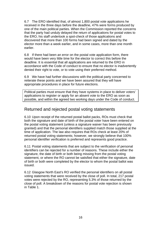6.7 The ERO identified that, of almost 1,800 postal vote applications he received in the three days before the deadline, 47% were forms produced by one of the main political parties. When the Commission reported the concerns that the party had unduly delayed the return of applications for postal votes to the ERO, his staff undertook a spot-check of those applications and discovered that more than 100 forms had been signed and dated by the elector more than a week earlier, and in some cases, more than one month earlier.

6.8 If there had been an error on the postal vote application form, there would have been very little time for the elector to correct this before the deadline. It is essential that all applications are returned to the ERO in accordance with the Code of conduct to ensure that no elector is inadvertently denied their right to vote, or to vote using their preferred method.

6.9 We have had further discussions with the political party concerned to reiterate these points and we have been assured that they will have appropriate procedures in place for future elections.

Political parties must ensure that they have systems in place to deliver voters' applications to register or apply for an absent vote to the ERO as soon as possible, and within the agreed two working days under the Code of conduct.

#### Returned and rejected postal voting statements

6.10 Upon receipt of the returned postal ballot packs, ROs must check that both the signature and date of birth of the postal voter have been entered on the postal voting statement (unless a signature waiver has been previously granted) and that the personal identifiers supplied match those supplied at the time of application. The law also requires that ROs check at least 20% of returned postal voting statements; however, we strongly believe that 100% personal identifier verification is preferred and represents good practice.

6.11 Postal voting statements that are subject to the verification of personal identifiers can be rejected for a number of reasons. These include either the signature, the date of birth or both being missing from the postal voting statement, or where the RO cannot be satisfied that either the signature, date of birth or both were completed by the elector to whom the postal ballot was issued.

6.12 Glasgow North East's RO verified the personal identifiers on all postal voting statements that were received by the close of poll. In total, 217 postal votes were rejected by the RO, representing 5.3% of those returned by the close of poll. A breakdown of the reasons for postal vote rejection is shown in Table 1.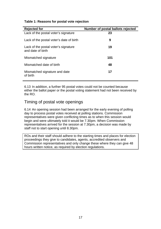| <b>Rejected for</b>                                       | Number of postal ballots rejected |
|-----------------------------------------------------------|-----------------------------------|
| Lack of the postal voter's signature                      | 23                                |
| Lack of the postal voter's date of birth                  | 9                                 |
| Lack of the postal voter's signature<br>and date of birth | 19                                |
| Mismatched signature                                      | 101                               |
| Mismatched date of birth                                  | 48                                |
| Mismatched signature and date<br>of birth                 | 17                                |

6.13 In addition, a further 95 postal votes could not be counted because either the ballot paper or the postal voting statement had not been received by the RO.

### Timing of postal vote openings

6.14 An opening session had been arranged for the early evening of polling day to process postal votes received at polling stations. Commission representatives were given conflicting times as to when this session would begin and were ultimately told it would be 7.30pm. When Commission representatives arrived for the session at 7.30pm, a decision was made by staff not to start opening until 8.30pm.

ROs and their staff should adhere to the starting times and places for election proceedings they give to candidates, agents, accredited observers and Commission representatives and only change these where they can give 48 hours written notice, as required by election regulations.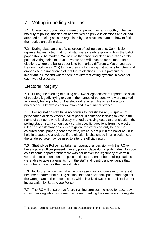## 7 Voting in polling stations

7.1 Overall, our observations were that polling day ran smoothly. The vast majority of polling station staff had worked on previous elections and all had attended a briefing session organised by the elections team on how to fulfil their duties on polling day.

7.2 During observations of a selection of polling stations, Commission representatives noted that not all staff were clearly explaining how the ballot paper should be marked. We believe that providing clear instructions at the point of voting helps to educate voters and will become more important at elections where the ballot paper is to be marked differently. We encourage Returning Officers (ROs) to train their staff in giving instructions to voters and emphasise the importance of it at future elections. This is particularly important in Scotland where there are different voting systems in place for each type of election.

### Electoral integrity

7.3 During the evening of polling day, two allegations were reported to police of people allegedly trying to vote in the names of persons who were marked as already having voted on the electoral register. This type of electoral malpractice is known as personation and is a criminal offence.

7.4 Polling station staff have no powers to investigate any suspicion of personation or deny voters a ballot paper. If someone is trying to vote in the name of someone who is already marked as having voted at that election, the polling station staff can only ask certain specific questions from the election rules.<sup> $13$ </sup> If satisfactory answers are given, the voter can only be given a coloured ballot paper (a tendered vote) which is not put in the ballot box but held in a separate envelope. If the election is challenged in an election court, the tendered vote may be used to alter the official result.

7.5 Strathclyde Police had taken an operational decision with the RO to have a police officer present in every polling place during polling day. As soon as it became apparent that there was doubt over the legitimacy of certain votes due to personation, the police officers present at both polling stations were able to take statements from the staff and identify any evidence that might be required for their investigation.

7.6 No further action was taken in one case involving one elector where it became apparent that polling station staff had accidently put a mark against the wrong name. The second case, which involved two electors, is still under investigation by Strathclyde Police.

7.7 The RO will ensure that future training stresses the need for accuracy when checking who has come to vote and marking their name on the register.

l  $13$  Rule 35, Parliamentary Election Rules, Representation of the People Act 1983.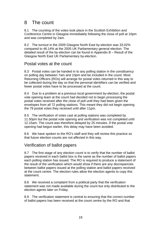## 8 The count

8.1 The counting of the votes took place in the Scottish Exhibition and Conference Centre in Glasgow immediately following the close of poll at 10pm and was completed by 2am.

8.2 The turnout in the 2009 Glasgow North East by-election was 33.02% compared to 46.14% at the 2005 UK Parliamentary general election. The detailed result of the by-election can be found in Appendix B – Result of the Glasgow North East UK Parliamentary by-election.

#### Postal votes at the count

8.3 Postal votes can be handed in to any polling station in the constituency on polling day between 7am and 10pm and be included in the count. Most Returning Officers (ROs) will arrange for postal votes returned in this way to be collected during the day so that the personal identifiers can be verified and fewer postal votes have to be processed at the count.

8.4 Due to a problem at a previous local government by-election, the postal vote opening team at the count had decided not to begin processing the postal votes received after the close of poll until they had been given the envelopes from all 72 polling stations. This meant they did not begin opening the 79 postal votes they received until after 11pm.

8.5 The verification of votes cast at polling stations was completed by 11.50pm but the postal vote opening and verification was not completed until 12.15am. The count was therefore delayed by 25 minutes. If the postal vote opening had begun earlier, this delay may have been avoided.

8.6 We have spoken to the RO's staff and they will review this practice so that future election counts are not affected in this way.

### Verification of ballot papers

8.7 The first stage of any election count is to verify that the number of ballot papers received in each ballot box is the same as the number of ballot papers each polling station has issued. The RO is required to produce a statement of the result of the verification which would show if there are any discrepancies between ballot papers issued at the polling station and ballot papers received at the count centre. The election rules allow the election agents to copy this statement.

8.8 We received a complaint from a political party that the verification statement was not made available during the count but only distributed to the election agents later on Friday.

8.9 The verification statement is central to ensuring that the correct number of ballot papers has been received at the count centre by the RO and that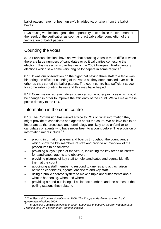ballot papers have not been unlawfully added to, or taken from the ballot boxes.

ROs must give election agents the opportunity to scrutinise the statement of the result of the verification as soon as practicable after completion of the verification of ballot papers.

#### Counting the votes

8.10 Previous elections have shown that counting votes is more difficult when there are large numbers of candidates or political parties contesting the election. This was a particular feature of the 2009 European Parliamentary elections which saw some very long ballot papers in some regions.<sup>14</sup>

8.11 It was our observation on the night that having three staff to a table was hindering the efficient counting of the votes as they often crossed over each other as they sorted the ballot papers. The count centre had sufficient space for some extra counting tables and this may have helped.

8.12 Commission representatives observed some other practices which could be changed in order to improve the efficiency of the count. We will make these points directly to the RO.

#### Information in the count centre

8.13 The Commission has issued advice to ROs on what information they might provide to candidates and agents about the count. We believe this to be important as the processes and terminology are likely to be unfamiliar to candidates or agents who have never been to a count before. The provision of information might include:<sup>15</sup>

- placing information posters and boards throughout the count venue which show the key members of staff and provide an overview of the procedures to be followed
- providing a layout plan of the venue, indicating the key areas of interest for candidates, agents and observers
- providing pictures of key staff to help candidates and agents identify them at the count
- appointing a staff member to respond to queries and act as liaison between candidates, agents, observers and key staff
- using a public address system to make simple announcements about what is happening, when and where
- providing a hand-out listing all ballot box numbers and the names of the polling stations they relate to

l 14 The Electoral Commission (October 2009),*The European Parliamentary and local government elections 2009*. 15 The Electoral Commission (October 2009), *Essentials of effective election management:* 

*Planning for a UK Parliamentary general election*.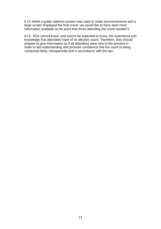8.14 While a public address system was used to make announcements and a large screen displayed the final result, we would like to have seen more information available at the point that those attending the count needed it.

8.15 ROs cannot know, and cannot be expected to know, the experience and knowledge that attendees have of an election count. Therefore, they should prepare to give information as if all attendees were new to the process in order to aid understanding and promote confidence that the count is being conducted fairly, transparently and in accordance with the law.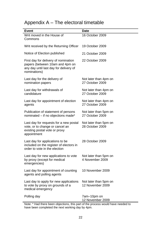## Appendix A – The electoral timetable

| <b>Event</b>                                                                                                                      | <b>Date</b>                                           |
|-----------------------------------------------------------------------------------------------------------------------------------|-------------------------------------------------------|
| Writ moved in the House of<br>Commons                                                                                             | 16 October 2009                                       |
| Writ received by the Returning Officer                                                                                            | 19 October 2009                                       |
| Notice of Election published                                                                                                      | 21 October 2009                                       |
| First day for delivery of nomination<br>papers (between 10am and 4pm on<br>any day until last day for delivery of<br>nominations) | 22 October 2009                                       |
| Last day for the delivery of<br>nomination papers                                                                                 | Not later than 4pm on<br>27 October 2009              |
| Last day for withdrawals of<br>candidature                                                                                        | Not later than 4pm on<br>27 October 2009              |
| Last day for appointment of election<br>agents                                                                                    | Not later than 4pm on<br>27 October 2009              |
| Publication of statement of persons<br>nominated - if no objections made*                                                         | Not later than 5pm on<br>27 October 2009              |
| Last day for requests for a new postal<br>vote, or to change or cancel an<br>existing postal vote or proxy<br>appointment         | Not later than 5pm on<br>28 October 2009              |
| Last day for applications to be<br>included on the register of electors in<br>order to vote in the election                       | 28 October 2009                                       |
| Last day for new applications to vote<br>by proxy (except for medical<br>emergencies)                                             | Not later than 5pm on<br>4 November 2009              |
| Last day for appointment of counting<br>agents and polling agents                                                                 | 10 November 2009                                      |
| Last day to apply for new applications<br>to vote by proxy on grounds of a<br>medical emergency                                   | Not later than 5pm on<br>12 November 2009             |
| Polling day<br>Note: * Hod there heen objections this nort                                                                        | 7am-10pm on<br>12 November 2009<br>at bounded and but |

Note: \* Had there been objections, this part of the process would have needed to have been completed the next working day by 4pm.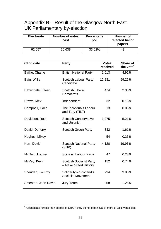## Appendix B – Result of the Glasgow North East UK Parliamentary by-election

| <b>Electorate</b> | <b>Number of votes</b><br>cast | <b>Percentage</b><br>poll | Number of<br>rejected ballot<br>papers |
|-------------------|--------------------------------|---------------------------|----------------------------------------|
| 62,057            | 20,638                         | 33.02%                    | 43                                     |

| <b>Candidate</b>    | Party                                                   | <b>Votes</b><br>received | <b>Share of</b><br>the vote <sup>®</sup> |
|---------------------|---------------------------------------------------------|--------------------------|------------------------------------------|
| Baillie, Charlie    | <b>British National Party</b>                           | 1,013                    | 4.91%                                    |
| Bain, Willie        | <b>Scottish Labour Party</b><br>Candidate               | 12,231                   | 59.26%                                   |
| Baxendale, Eileen   | <b>Scottish Liberal</b><br>Democrats                    | 474                      | 2.30%                                    |
| Brown, Mev          | Independent                                             | 32                       | 0.16%                                    |
| Campbell, Colin     | The Individuals Labour<br>and Tory (TILT)               | 13                       | 0.06%                                    |
| Davidson, Ruth      | <b>Scottish Conservative</b><br>and Unionist            | 1,075                    | 5.21%                                    |
| David, Doherty      | <b>Scottish Green Party</b>                             | 332                      | 1.61%                                    |
| Hughes, Mikey       |                                                         | 54                       | 0.26%                                    |
| Kerr, David         | <b>Scottish National Party</b><br>(SNP)                 | 4,120                    | 19.96%                                   |
| McDaid, Louise      | <b>Socialist Labour Party</b>                           | 47                       | 0.23%                                    |
| McVey, Kevin        | <b>Scottish Socialist Party</b><br>- Make Greed History | 152                      | 0.74%                                    |
| Sheridan, Tommy     | Solidarity - Scotland's<br><b>Socialist Movement</b>    | 794                      | 3.85%                                    |
| Smeaton, John David | <b>Jury Team</b>                                        | 258                      | 1.25%                                    |

 \* A candidate forfeits their deposit of £500 if they do not obtain 5% or more of valid votes cast.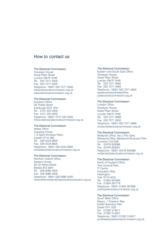#### How to contact us

#### The Electoral Commission

Trevelyan House Great Peter Street London SW1P 2HW Tel: 020 7271 0500 Fax: 020 7271 0505 Textphone: 18001 020 7271 0500 info@electoralcommission.org.uk www.electoralcommission.org.uk

#### The Electoral Commission

Scotland Office 38 Thistle Street Edinburgh EH2 1EN Tel: 0131 225 0200 Fax: 0131 225 0205 Textphone: 18001 0131 225 0200 infoscotland@electoralcommission.org.uk

#### The Electoral Commission

Wales Office Caradog House 1–6 Saint Andrews Place Cardiff CF10 3BE Tel: 029 2034 6800 Fax: 029 2034 6805 Textphone: 18001 029 2034 6800 infowales@electoralcommission.org.uk

#### The Electoral Commission

Northern Ireland Office Seatem House 28–32 Alfred Street Belfast BT2 8EN Tel: 028 9089 4020 Fax: 028 9089 4026 Textphone: 18001 028 9089 4020 infonorthernireland@electoralcommission.org.uk

#### The Electoral Commission

Eastern and South East Office Trevelyan House Great Peter Street London SW1P 2HW Tel: 020 7271 0600 Fax: 020 7271 0505 Textphone: 18001 020 7271 0600 easternandsoutheastoffice @electoralcommission.org.uk

#### The Electoral Commission

London Office Trevelyan House Great Peter Street London SW1P 2HW Tel: 020 7271 0689 Fax: 020 7271 0505 Textphone: 18001 020 7271 0689 london@electoralcommission.org.uk

#### The Electoral Commission

Midlands Office, No 2 The Oaks Westwood Way, Westwood Business Park Coventry CV4 8JB Tel: 02476 820086 Fax: 02476 820001 Textphone: 18001 02476 820086 midlands@electoralcommission.org.uk

#### The Electoral Commission

North of England Office York Science Park IT Centre Innovation Way **Heslington** York YO10 5DG Tel: 01904 567990 Fax: 01904 567719 Textphone: 18001 01904 567990 north@electoralcommission.org.uk

#### The Electoral Commission

South West Office Regus, 1 Emperor Way Exeter Business Park Exeter EX1 3QS Tel: 01392 314617 Fax: 01392 314001 Textphone: 18001 01392 314617 southwest@electoralcommission.org.uk